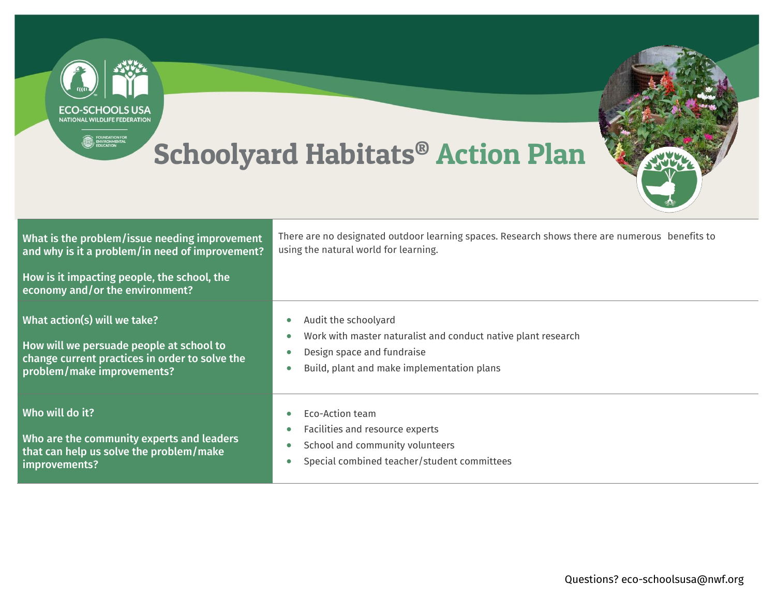| <b>FCO-SCHOOLS USA</b><br><b>NATIONAL WILDLIFF FEDERATION</b><br>FOUNDATION FOR<br><b>Schoolyard Habitats® Action Plan</b>                                                         |                                                                                                                                                                                                          |
|------------------------------------------------------------------------------------------------------------------------------------------------------------------------------------|----------------------------------------------------------------------------------------------------------------------------------------------------------------------------------------------------------|
| What is the problem/issue needing improvement<br>and why is it a problem/in need of improvement?<br>How is it impacting people, the school, the<br>economy and/or the environment? | There are no designated outdoor learning spaces. Research shows there are numerous benefits to<br>using the natural world for learning.                                                                  |
| What action(s) will we take?<br>How will we persuade people at school to<br>change current practices in order to solve the<br>problem/make improvements?                           | Audit the schoolyard<br>$\bullet$<br>Work with master naturalist and conduct native plant research<br>$\bullet$<br>Design space and fundraise<br>Build, plant and make implementation plans<br>$\bullet$ |
| Who will do it?<br>Who are the community experts and leaders<br>that can help us solve the problem/make<br>improvements?                                                           | Eco-Action team<br>Facilities and resource experts<br>School and community volunteers<br>$\bullet$<br>Special combined teacher/student committees                                                        |